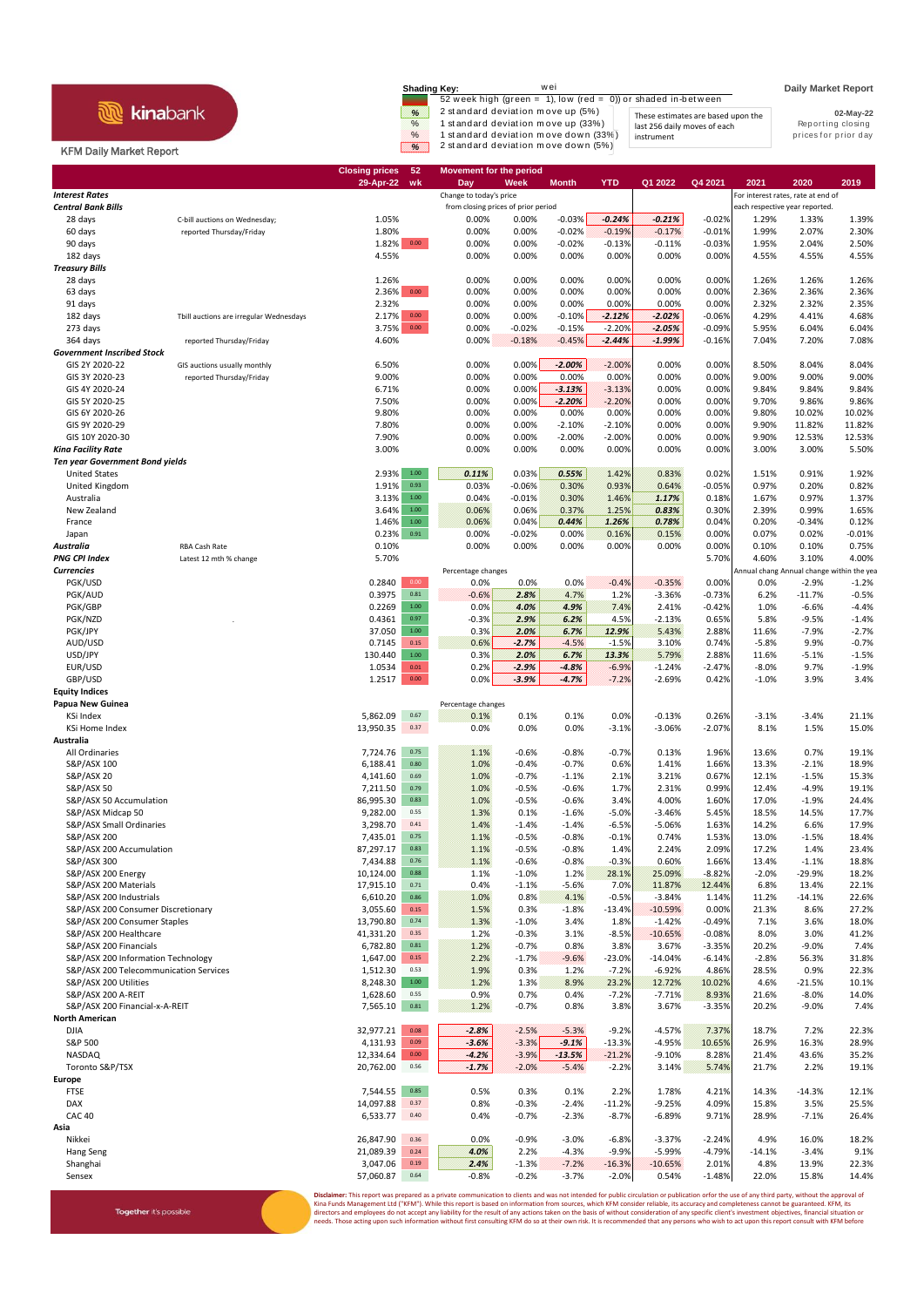## **R** kinabank

Together it's possible

| <b>Shading Key:</b> | wei                                                           |                                    | <b>Daily Market Report</b> |
|---------------------|---------------------------------------------------------------|------------------------------------|----------------------------|
|                     | 52 week high (green = 1), low (red = 0)) or shaded in-between |                                    |                            |
| %                   | 2 standard deviation move up (5%)                             | These estimates are based upon the | 02-May-22                  |
| $\%$                | 1 standard deviation move up (33%)                            | last 256 daily moves of each       | Reporting closing          |
| $\%$                | 1 standard deviation move down (33%)                          | instrument                         | prices for prior day       |
| ⋇                   | 2 standard deviation move down (5%)                           |                                    |                            |

## KFM Daily Market Report

|                                                         |                                                           | <b>Closing prices</b><br>29-Apr-22 | 52<br>wk               | <b>Movement for the period</b><br>Day | Week               | <b>Month</b>         | <b>YTD</b>           | Q1 2022              | Q4 2021              | 2021                                      | 2020                | 2019               |
|---------------------------------------------------------|-----------------------------------------------------------|------------------------------------|------------------------|---------------------------------------|--------------------|----------------------|----------------------|----------------------|----------------------|-------------------------------------------|---------------------|--------------------|
| <b>Interest Rates</b>                                   |                                                           |                                    |                        | Change to today's price               |                    |                      |                      |                      |                      | For interest rates, rate at end of        |                     |                    |
| <b>Central Bank Bills</b>                               |                                                           |                                    |                        | from closing prices of prior period   |                    |                      |                      |                      |                      | each respective year reported.            |                     |                    |
| 28 days<br>60 days                                      | C-bill auctions on Wednesday;<br>reported Thursday/Friday | 1.05%<br>1.80%                     |                        | 0.00%<br>0.00%                        | 0.00%<br>0.00%     | $-0.03%$<br>$-0.02%$ | $-0.24%$<br>$-0.19%$ | $-0.21%$<br>$-0.17%$ | $-0.02%$<br>$-0.01%$ | 1.29%<br>1.99%                            | 1.33%<br>2.07%      | 1.39%<br>2.30%     |
| 90 days                                                 |                                                           | 1.82%                              | 0.00                   | 0.00%                                 | 0.00%              | $-0.02%$             | $-0.13%$             | $-0.11%$             | $-0.03%$             | 1.95%                                     | 2.04%               | 2.50%              |
| 182 days                                                |                                                           | 4.55%                              |                        | 0.00%                                 | 0.00%              | 0.00%                | 0.00%                | 0.00%                | 0.00%                | 4.55%                                     | 4.55%               | 4.55%              |
| <b>Treasury Bills</b>                                   |                                                           |                                    |                        |                                       |                    |                      |                      |                      |                      |                                           |                     |                    |
| 28 days<br>63 days                                      |                                                           | 1.26%<br>2.36%                     | $0.00\,$               | 0.00%<br>0.00%                        | 0.00%<br>0.00%     | 0.00%<br>0.00%       | 0.00%<br>0.00%       | 0.00%<br>0.00%       | 0.00%<br>0.00%       | 1.26%<br>2.36%                            | 1.26%<br>2.36%      | 1.26%<br>2.36%     |
| 91 days                                                 |                                                           | 2.32%                              |                        | 0.00%                                 | 0.00%              | 0.00%                | 0.00%                | 0.00%                | 0.00%                | 2.32%                                     | 2.32%               | 2.35%              |
| 182 days                                                | Tbill auctions are irregular Wednesdays                   | 2.17%                              | 0.00                   | 0.00%                                 | 0.00%              | $-0.10%$             | $-2.12%$             | $-2.02%$             | $-0.06%$             | 4.29%                                     | 4.41%               | 4.68%              |
| 273 days                                                |                                                           | 3.75%                              | $0.00\,$               | 0.00%                                 | $-0.02%$           | $-0.15%$             | $-2.20%$             | $-2.05%$             | $-0.09%$             | 5.95%                                     | 6.04%               | 6.04%              |
| 364 days<br><b>Government Inscribed Stock</b>           | reported Thursday/Friday                                  | 4.60%                              |                        | 0.00%                                 | $-0.18%$           | $-0.45%$             | $-2.44%$             | $-1.99%$             | $-0.16%$             | 7.04%                                     | 7.20%               | 7.08%              |
| GIS 2Y 2020-22                                          | GIS auctions usually monthly                              | 6.50%                              |                        | 0.00%                                 | 0.00%              | $-2.00%$             | $-2.00%$             | 0.00%                | 0.00%                | 8.50%                                     | 8.04%               | 8.04%              |
| GIS 3Y 2020-23                                          | reported Thursday/Friday                                  | 9.00%                              |                        | 0.00%                                 | 0.00%              | 0.00%                | 0.00%                | 0.00%                | 0.00%                | 9.00%                                     | 9.00%               | 9.00%              |
| GIS 4Y 2020-24                                          |                                                           | 6.71%                              |                        | 0.00%                                 | 0.00%              | $-3.13%$             | $-3.13%$             | 0.00%                | 0.00%                | 9.84%                                     | 9.84%               | 9.84%              |
| GIS 5Y 2020-25                                          |                                                           | 7.50%                              |                        | 0.00%                                 | 0.00%              | $-2.20%$             | $-2.20%$             | 0.00%                | 0.00%                | 9.70%                                     | 9.86%               | 9.86%              |
| GIS 6Y 2020-26<br>GIS 9Y 2020-29                        |                                                           | 9.80%<br>7.80%                     |                        | 0.00%<br>0.00%                        | 0.00%<br>0.00%     | 0.00%<br>$-2.10%$    | 0.00%<br>$-2.10%$    | 0.00%<br>0.00%       | 0.00%<br>0.00%       | 9.80%<br>9.90%                            | 10.02%<br>11.82%    | 10.02%<br>11.82%   |
| GIS 10Y 2020-30                                         |                                                           | 7.90%                              |                        | 0.00%                                 | 0.00%              | $-2.00%$             | $-2.00%$             | 0.00%                | 0.00%                | 9.90%                                     | 12.53%              | 12.53%             |
| <b>Kina Facility Rate</b>                               |                                                           | 3.00%                              |                        | 0.00%                                 | 0.00%              | 0.00%                | 0.00%                | 0.00%                | 0.00%                | 3.00%                                     | 3.00%               | 5.50%              |
| <b>Ten year Government Bond yields</b>                  |                                                           |                                    |                        |                                       |                    |                      |                      |                      |                      |                                           |                     |                    |
| <b>United States</b><br>United Kingdom                  |                                                           | 2.93%<br>1.91%                     | $1.00\,$<br>0.93       | 0.11%<br>0.03%                        | 0.03%<br>$-0.06%$  | 0.55%<br>0.30%       | 1.42%<br>0.93%       | 0.83%<br>0.64%       | 0.02%<br>$-0.05%$    | 1.51%<br>0.97%                            | 0.91%<br>0.20%      | 1.92%<br>0.82%     |
| Australia                                               |                                                           | 3.13%                              | 1.00                   | 0.04%                                 | $-0.01%$           | 0.30%                | 1.46%                | 1.17%                | 0.18%                | 1.67%                                     | 0.97%               | 1.37%              |
| New Zealand                                             |                                                           | 3.64%                              | $1.00\,$               | 0.06%                                 | 0.06%              | 0.37%                | 1.25%                | 0.83%                | 0.30%                | 2.39%                                     | 0.99%               | 1.65%              |
| France                                                  |                                                           | 1.46%                              | $1.00\,$               | 0.06%                                 | 0.04%              | 0.44%                | 1.26%                | 0.78%                | 0.04%                | 0.20%                                     | $-0.34%$            | 0.12%              |
| Japan                                                   | <b>RBA Cash Rate</b>                                      | 0.23%                              | 0.91                   | 0.00%<br>0.00%                        | $-0.02%$<br>0.00%  | 0.00%<br>0.00%       | 0.16%<br>0.00%       | 0.15%<br>0.00%       | 0.00%                | 0.07%                                     | 0.02%               | $-0.01%$<br>0.75%  |
| Australia<br><b>PNG CPI Index</b>                       | Latest 12 mth % change                                    | 0.10%<br>5.70%                     |                        |                                       |                    |                      |                      |                      | 0.00%<br>5.70%       | 0.10%<br>4.60%                            | 0.10%<br>3.10%      | 4.00%              |
| <b>Currencies</b>                                       |                                                           |                                    |                        | Percentage changes                    |                    |                      |                      |                      |                      | Annual chang Annual change within the yea |                     |                    |
| PGK/USD                                                 |                                                           | 0.2840                             | 0.00                   | 0.0%                                  | 0.0%               | 0.0%                 | $-0.4%$              | $-0.35%$             | 0.00%                | 0.0%                                      | $-2.9%$             | $-1.2%$            |
| PGK/AUD                                                 |                                                           | 0.3975                             | $\bf 0.81$<br>$1.00\,$ | $-0.6%$                               | 2.8%               | 4.7%                 | 1.2%                 | $-3.36%$             | $-0.73%$             | 6.2%                                      | $-11.7%$            | $-0.5%$            |
| PGK/GBP<br>PGK/NZD                                      |                                                           | 0.2269<br>0.4361                   | 0.97                   | 0.0%<br>$-0.3%$                       | 4.0%<br>2.9%       | 4.9%<br>6.2%         | 7.4%<br>4.5%         | 2.41%<br>$-2.13%$    | $-0.42%$<br>0.65%    | 1.0%<br>5.8%                              | $-6.6%$<br>$-9.5%$  | $-4.4%$<br>$-1.4%$ |
| PGK/JPY                                                 |                                                           | 37.050                             | $1.00\,$               | 0.3%                                  | 2.0%               | 6.7%                 | 12.9%                | 5.43%                | 2.88%                | 11.6%                                     | $-7.9%$             | $-2.7%$            |
| AUD/USD                                                 |                                                           | 0.7145                             | 0.15                   | 0.6%                                  | $-2.7%$            | $-4.5%$              | $-1.5%$              | 3.10%                | 0.74%                | $-5.8%$                                   | 9.9%                | $-0.7%$            |
| USD/JPY                                                 |                                                           | 130.440                            | $1.00\,$               | 0.3%                                  | 2.0%               | 6.7%                 | 13.3%                | 5.79%                | 2.88%                | 11.6%                                     | $-5.1%$             | $-1.5%$            |
| EUR/USD<br>GBP/USD                                      |                                                           | 1.0534<br>1.2517                   | $0.01\,$<br>0.00       | 0.2%<br>0.0%                          | $-2.9%$<br>$-3.9%$ | $-4.8%$<br>$-4.7%$   | $-6.9%$<br>$-7.2%$   | $-1.24%$<br>$-2.69%$ | $-2.47%$<br>0.42%    | $-8.0%$<br>$-1.0%$                        | 9.7%<br>3.9%        | $-1.9%$<br>3.4%    |
| <b>Equity Indices</b>                                   |                                                           |                                    |                        |                                       |                    |                      |                      |                      |                      |                                           |                     |                    |
| Papua New Guinea                                        |                                                           |                                    |                        | Percentage changes                    |                    |                      |                      |                      |                      |                                           |                     |                    |
| KSi Index                                               |                                                           | 5,862.09                           | 0.67                   | 0.1%                                  | 0.1%               | 0.1%                 | 0.0%                 | $-0.13%$             | 0.26%                | $-3.1%$                                   | $-3.4%$             | 21.1%              |
| <b>KSi Home Index</b><br>Australia                      |                                                           | 13,950.35                          | 0.37                   | 0.0%                                  | 0.0%               | 0.0%                 | $-3.1%$              | $-3.06%$             | $-2.07%$             | 8.1%                                      | 1.5%                | 15.0%              |
| All Ordinaries                                          |                                                           | 7,724.76                           | 0.75                   | 1.1%                                  | $-0.6%$            | $-0.8%$              | $-0.7%$              | 0.13%                | 1.96%                | 13.6%                                     | 0.7%                | 19.1%              |
| S&P/ASX 100                                             |                                                           | 6,188.41                           | 0.80                   | 1.0%                                  | $-0.4%$            | $-0.7%$              | 0.6%                 | 1.41%                | 1.66%                | 13.3%                                     | $-2.1%$             | 18.9%              |
| S&P/ASX 20                                              |                                                           | 4,141.60                           | 0.69                   | 1.0%                                  | $-0.7%$            | $-1.1%$              | 2.1%                 | 3.21%                | 0.67%                | 12.1%                                     | $-1.5%$             | 15.3%              |
| S&P/ASX 50                                              |                                                           | 7,211.50                           | 0.79                   | 1.0%                                  | $-0.5%$            | $-0.6%$              | 1.7%                 | 2.31%                | 0.99%                | 12.4%                                     | $-4.9%$             | 19.1%              |
| S&P/ASX 50 Accumulation<br>S&P/ASX Midcap 50            |                                                           | 86,995.30<br>9,282.00              | 0.83<br>0.55           | 1.0%<br>1.3%                          | $-0.5%$<br>0.1%    | $-0.6%$<br>$-1.6%$   | 3.4%<br>$-5.0%$      | 4.00%<br>$-3.46%$    | 1.60%<br>5.45%       | 17.0%<br>18.5%                            | $-1.9%$<br>14.5%    | 24.4%<br>17.7%     |
| S&P/ASX Small Ordinaries                                |                                                           | 3,298.70                           | 0.41                   | 1.4%                                  | $-1.4%$            | $-1.4%$              | $-6.5%$              | $-5.06%$             | 1.63%                | 14.2%                                     | 6.6%                | 17.9%              |
| S&P/ASX 200                                             |                                                           | 7,435.01                           | 0.75                   | 1.1%                                  | $-0.5%$            | $-0.8%$              | $-0.1%$              | 0.74%                | 1.53%                | 13.0%                                     | $-1.5%$             | 18.4%              |
| S&P/ASX 200 Accumulation                                |                                                           | 87,297.17                          | 0.83                   | 1.1%                                  | $-0.5%$            | $-0.8%$              | 1.4%                 | 2.24%                | 2.09%                | 17.2%                                     | 1.4%                | 23.4%              |
| S&P/ASX 300<br>S&P/ASX 200 Energy                       |                                                           | 7,434.88<br>10,124.00              | 0.76<br>0.88           | 1.1%<br>1.1%                          | $-0.6%$<br>$-1.0%$ | $-0.8%$<br>1.2%      | $-0.3%$<br>28.1%     | 0.60%<br>25.09%      | 1.66%<br>$-8.82%$    | 13.4%<br>$-2.0%$                          | $-1.1%$<br>$-29.9%$ | 18.8%<br>18.2%     |
| S&P/ASX 200 Materials                                   |                                                           | 17,915.10                          | 0.71                   | 0.4%                                  | $-1.1%$            | $-5.6%$              | 7.0%                 | 11.87%               | 12.44%               | 6.8%                                      | 13.4%               | 22.1%              |
| S&P/ASX 200 Industrials                                 |                                                           | 6,610.20                           | 0.86                   | 1.0%                                  | 0.8%               | 4.1%                 | $-0.5%$              | $-3.84%$             | 1.14%                | 11.2%                                     | $-14.1%$            | 22.6%              |
| S&P/ASX 200 Consumer Discretionary                      |                                                           | 3,055.60                           | 0.15                   | 1.5%                                  | 0.3%               | $-1.8%$              | $-13.4%$             | $-10.59%$            | 0.00%                | 21.3%                                     | 8.6%                | 27.2%              |
| S&P/ASX 200 Consumer Staples                            |                                                           | 13,790.80                          | 0.74                   | 1.3%                                  | $-1.0%$            | 3.4%                 | 1.8%                 | $-1.42%$             | $-0.49%$             | 7.1%                                      | 3.6%                | 18.0%              |
| S&P/ASX 200 Healthcare<br>S&P/ASX 200 Financials        |                                                           | 41,331.20<br>6,782.80              | 0.35<br>0.81           | 1.2%<br>1.2%                          | $-0.3%$<br>$-0.7%$ | 3.1%<br>0.8%         | $-8.5%$<br>3.8%      | $-10.65%$<br>3.67%   | $-0.08%$<br>$-3.35%$ | 8.0%<br>20.2%                             | 3.0%<br>$-9.0%$     | 41.2%<br>7.4%      |
| S&P/ASX 200 Information Technology                      |                                                           | 1,647.00                           | 0.15                   | 2.2%                                  | $-1.7%$            | $-9.6%$              | $-23.0%$             | $-14.04%$            | $-6.14%$             | $-2.8%$                                   | 56.3%               | 31.8%              |
| S&P/ASX 200 Telecommunication Services                  |                                                           | 1,512.30                           | 0.53                   | 1.9%                                  | 0.3%               | 1.2%                 | $-7.2%$              | $-6.92%$             | 4.86%                | 28.5%                                     | 0.9%                | 22.3%              |
| S&P/ASX 200 Utilities                                   |                                                           | 8,248.30                           | $1.00\,$               | 1.2%                                  | 1.3%               | 8.9%                 | 23.2%                | 12.72%               | 10.02%               | 4.6%                                      | $-21.5%$            | 10.1%              |
| S&P/ASX 200 A-REIT                                      |                                                           | 1,628.60                           | 0.55                   | 0.9%                                  | 0.7%               | 0.4%                 | $-7.2%$              | $-7.71%$             | 8.93%                | 21.6%                                     | $-8.0%$             | 14.0%              |
| S&P/ASX 200 Financial-x-A-REIT<br><b>North American</b> |                                                           | 7,565.10                           | $\mathbf{0.81}$        | 1.2%                                  | $-0.7%$            | 0.8%                 | 3.8%                 | 3.67%                | $-3.35%$             | 20.2%                                     | $-9.0%$             | 7.4%               |
| <b>DJIA</b>                                             |                                                           | 32,977.21                          | 0.08                   | $-2.8%$                               | $-2.5%$            | $-5.3%$              | $-9.2%$              | $-4.57%$             | 7.37%                | 18.7%                                     | 7.2%                | 22.3%              |
| S&P 500                                                 |                                                           | 4,131.93                           | 0.09                   | $-3.6%$                               | $-3.3%$            | $-9.1%$              | $-13.3%$             | $-4.95%$             | 10.65%               | 26.9%                                     | 16.3%               | 28.9%              |
| <b>NASDAQ</b>                                           |                                                           | 12,334.64                          | 0.00                   | $-4.2%$                               | $-3.9%$            | $-13.5%$             | $-21.2%$             | $-9.10%$             | 8.28%                | 21.4%                                     | 43.6%               | 35.2%              |
| Toronto S&P/TSX<br>Europe                               |                                                           | 20,762.00                          | 0.56                   | $-1.7%$                               | $-2.0%$            | $-5.4%$              | $-2.2%$              | 3.14%                | 5.74%                | 21.7%                                     | 2.2%                | 19.1%              |
| <b>FTSE</b>                                             |                                                           | 7,544.55                           | 0.85                   | 0.5%                                  | 0.3%               | 0.1%                 | 2.2%                 | 1.78%                | 4.21%                | 14.3%                                     | $-14.3%$            | 12.1%              |
| DAX                                                     |                                                           | 14,097.88                          | 0.37                   | 0.8%                                  | $-0.3%$            | $-2.4%$              | $-11.2%$             | $-9.25%$             | 4.09%                | 15.8%                                     | 3.5%                | 25.5%              |
| <b>CAC 40</b>                                           |                                                           | 6,533.77                           | 0.40                   | 0.4%                                  | $-0.7%$            | $-2.3%$              | $-8.7%$              | $-6.89%$             | 9.71%                | 28.9%                                     | $-7.1%$             | 26.4%              |
| Asia                                                    |                                                           |                                    |                        |                                       |                    |                      |                      |                      |                      |                                           |                     |                    |
| Nikkei<br>Hang Seng                                     |                                                           | 26,847.90<br>21,089.39             | 0.36<br>0.24           | 0.0%<br>4.0%                          | $-0.9%$<br>2.2%    | $-3.0%$<br>$-4.3%$   | $-6.8%$<br>$-9.9%$   | $-3.37%$<br>$-5.99%$ | $-2.24%$<br>$-4.79%$ | 4.9%<br>$-14.1%$                          | 16.0%<br>$-3.4%$    | 18.2%<br>9.1%      |
| Shanghai                                                |                                                           | 3,047.06                           | 0.19                   | 2.4%                                  | $-1.3%$            | $-7.2%$              | $-16.3%$             | $-10.65%$            | 2.01%                | 4.8%                                      | 13.9%               | 22.3%              |
| Sensex                                                  |                                                           | 57,060.87                          | 0.64                   | $-0.8%$                               | $-0.2%$            | $-3.7%$              | $-2.0%$              | 0.54%                | $-1.48%$             | 22.0%                                     | 15.8%               | 14.4%              |
|                                                         |                                                           |                                    |                        |                                       |                    |                      |                      |                      |                      |                                           |                     |                    |

**Disclaimer**: This report was prepared as a private communication to clients and was not intended for public circulation or publication orfor the use of any third party, without the approval of<br>Kina Funds Management Ltd ("